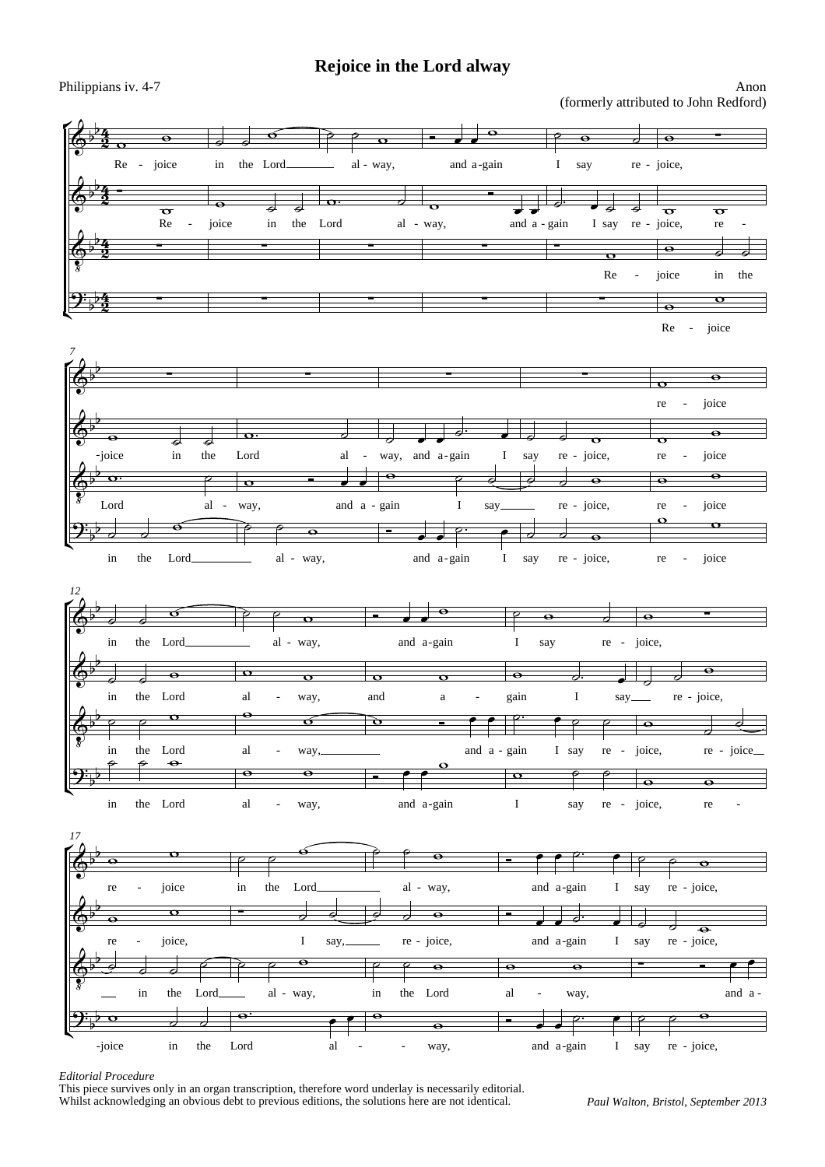4  $\frac{4}{2}$ 

ŕ

 $\overline{\mathbb{Q}^{\flat}}$ b

 $\overline{\mathbb{P}}$  $\frac{1}{3}$  -

 $\Phi$  $\overline{\mathcal{S}}$  $\frac{1}{2}$ 

 $\mathfrak{P}_{\flat}$ 

 $\overline{\mathbb{Q}^{\flat}}$ 

 $\overline{\mathbb{Q}^{\flat}}$ b

 $\Phi$  $\overline{\mathcal{S}}$  $\frac{1}{2}$  $\overline{b}$ 

 $\mathbf{\mathfrak{P}}_{\flat}$ b

-joice in

the  $\overline{d}$ 

the  $\overline{\phantom{a}}$ 

the  $\overline{a}$ 

 $\overline{\phantom{0}}$ 

the<br> $\overline{P}$ 

in the

Lord

Lord

Lord  $\overline{\bullet}$ 

 $\sigma$ 

Lord

 $\bullet$ 

al

 $\delta$  and  $\delta$ 

al

al

 $\overline{\epsilon}$ 

-

 $\overline{\phantom{0}}$ 

 $\overline{\bullet}$ 

Lord  $\overline{\mathbf{o}}$ 

> in  $\overline{d}$

in  $\overline{\phantom{a}}$ 

in  $\overline{d}$ 

 $\overline{\phantom{0}}$ 

in<br>P

ľ

*7* É

ľ

*12* É

 $\overline{\mathbb{P}}$ þ

 $\overline{\mathbb{Q}^{\flat}}$ þ

 $\Phi$  $\overline{\mathcal{S}}$  $\frac{1}{2}$ b

4  $\frac{4}{2}$  Re  $\overline{\mathbf{o}}$ 

- joice in

 $\overline{d}$ 

 $\overline{\bullet}$ 

 $\overline{d}$ 

 $\overline{\bullet}$ 

Re

4  $\frac{4}{2}$ 

4  $\frac{4}{2}$ 



 $\mathbf{o}$ 

ľ  $\mathfrak{P}_{\flat}$ b in the Lord al way, - E and a-gain I say re - joice, re  $\overline{\bullet}$  $\overline{\bullet}$ -



## *Editorial Procedure*

This piece survives only in an organ transcription, therefore word underlay is necessarily editorial. Whilst acknowledging an obvious debt to previous editions, the solutions here are not identical.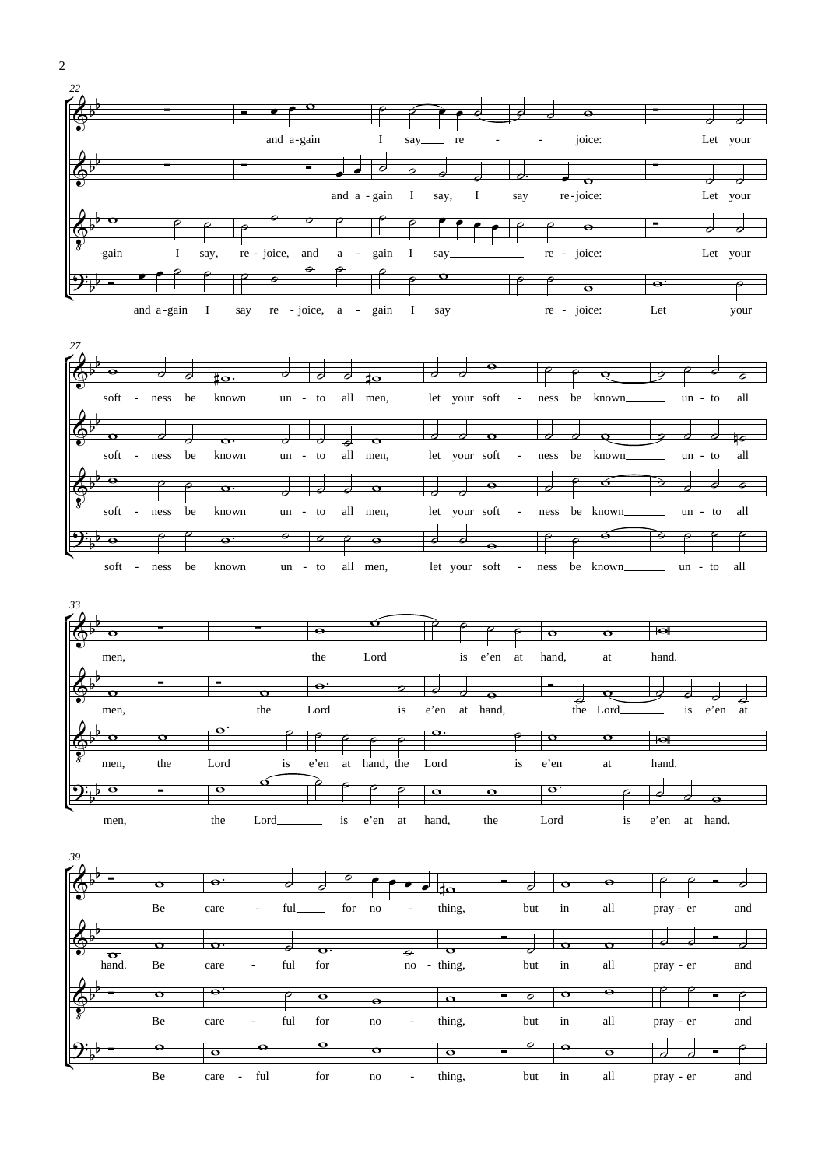





| 39<br>rŷ               |                         |                         |                          |      |                    |           |                   |                          |                  |   |     |                  |                         |           |     |
|------------------------|-------------------------|-------------------------|--------------------------|------|--------------------|-----------|-------------------|--------------------------|------------------|---|-----|------------------|-------------------------|-----------|-----|
| $\bigcirc$             | $\overline{\mathbf{v}}$ | $\overline{\mathbf{e}}$ |                          |      |                    |           |                   |                          | 10               | - |     | $\sigma$         | $\bullet$               | 7         |     |
|                        | Be                      | care                    | $\overline{\phantom{a}}$ | ful. |                    | for<br>no |                   | $\sim$                   | thing,           |   | but | in               | all                     | pray - er | and |
| $\bigcirc$<br>$\sigma$ | ᡴ                       | $\mathbf{o} \cdot$      |                          |      | $\mathbf{o} \cdot$ |           | ¢                 |                          | $\mathbf \sigma$ |   |     | ෬                | $\overline{\mathbf{c}}$ |           |     |
| hand.                  | Be                      | care                    | ٠                        | ful  | for                |           |                   | no                       | - thing,         |   | but | in               | all                     | pray - er | and |
| $\frac{1}{2}$          | $\sigma$                | $\mathbf{e}$ .          |                          |      | $\bullet$          |           | $\mathbf{\Theta}$ |                          | $\mathbf \sigma$ |   |     | $\mathbf \sigma$ | $\bullet$               |           |     |
|                        | Be                      | care                    | $\sim$                   | ful  | for                | no        |                   | $\overline{\phantom{a}}$ | thing,           |   | but | in               | all                     | pray - er | and |
| <u> ၅։</u>             | $\bullet$               | $\bullet$               | $\bullet$                |      | $\mathbf \sigma$   |           | $\mathbf \sigma$  |                          | $\bullet$        |   |     | $\bullet$        | $\bullet$               | ⇁<br>7    |     |
|                        | Be                      | care                    | ful<br>$\sim$            |      | for                | no        |                   | $\overline{\phantom{a}}$ | thing,           |   | but | in               | all                     | pray - er | and |

2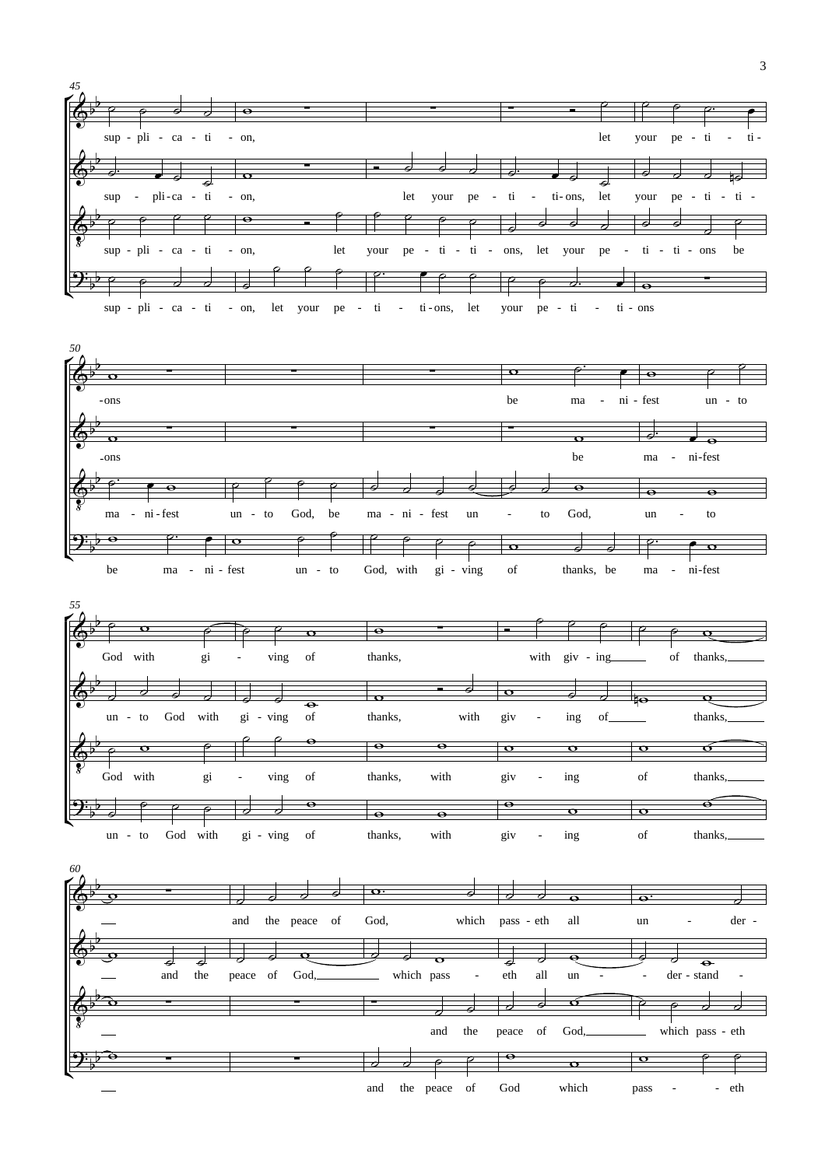